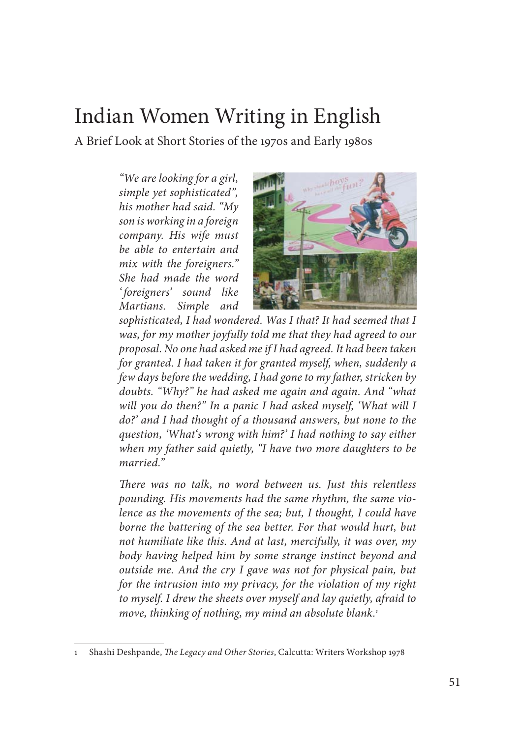## Indian Women Writing in English

A Brief Look at Short Stories of the 1970s and Early 1980s

*"We are looking for a girl, simple yet sophisticated", his mother had said. "My son is working in a foreign company. His wife must be able to entertain and mix with the foreigners." She had made the word ' foreigners' sound like Mar tians. Simple and* 



*sophisticated, I had won dered. Was I that? It had seemed that I was, for my mother joyfully told me that they had agreed to our proposal. No one had asked me if I had agreed. It had been taken for granted. I had taken it for granted myself, when, suddenly a few days before the wedding, I had gone to my father, stricken by doubts. "Why?" he had asked me again and again. And "what will you do then?" In a panic I had asked myself, 'What will I do?' and I had thought of a thousand answers, but none to the question, 'What's wrong with him?' I had nothing to say either when my father said quietly, "I have two more daughters to be married."* 

*Th ere was no talk, no word between us. Just this relentless pounding. His movements had the same rhythm, the same violence as the movements of the sea; but, I thought, I could have borne the battering of the sea better. For that would hurt, but not humiliate like this. And at last, mercifully, it was over, my body having helped him by some strange instinct beyond and outside me. And the cry I gave was not for physical pain, but for the intrusion into my privacy, for the violation of my right to myself. I drew the sheets over myself and lay quietly, afraid to move, thinking of nothing, my mind an absolute blank.1*

Shashi Deshpande, *The Legacy and Other Stories*, Calcutta: Writers Workshop 1978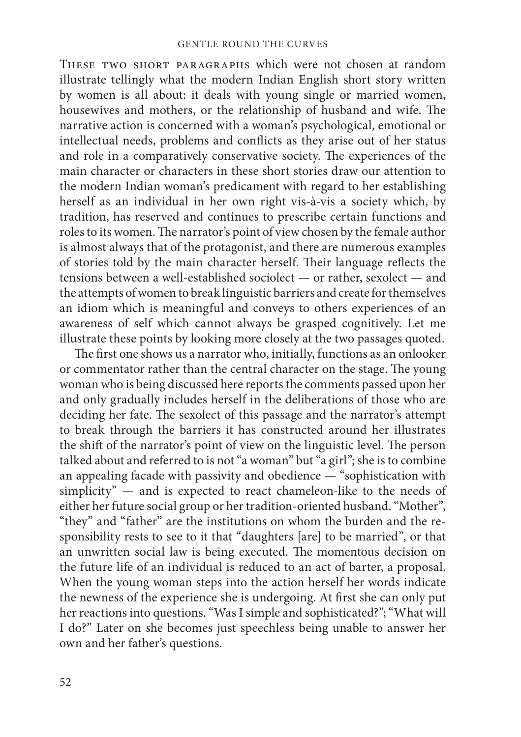These two short paragraphs which were not chosen at random illustrate tellingly what the modern Indian English short story written by women is all about: it deals with young single or married women, housewives and mothers, or the relationship of husband and wife. The narrative action is concerned with a woman's psychological, emotional or intellectual needs, problems and conflicts as they arise out of her status and role in a comparatively conservative society. The experiences of the main character or characters in these short stories draw our attention to the modern Indian woman's predicament with regard to her establishing herself as an individual in her own right vis-à-vis a society which, by tradition, has reserved and continues to prescribe certain functions and roles to its women. The narrator's point of view chosen by the female author is almost always that of the protagonist, and there are numerous examples of stories told by the main character herself. Their language reflects the tensions between a well-established sociolect — or rather, sexolect — and the attempts of women to break linguistic barriers and create for themselves an idiom which is meaningful and conveys to others experiences of an awareness of self which cannot always be grasped cognitively. Let me illustrate these points by looking more closely at the two passages quoted.

The first one shows us a narrator who, initially, functions as an onlooker or commentator rather than the central character on the stage. The young woman who is being discussed here reports the comments passed upon her and only gradually includes herself in the deliberations of those who are deciding her fate. The sexolect of this passage and the narrator's attempt to break through the barriers it has constructed around her illustrates the shift of the narrator's point of view on the linguistic level. The person talked about and referred to is not "a woman" but "a girl"; she is to combine an appealing facade with passivity and obedience — "sophistication with simplicity" — and is expected to react chameleon-like to the needs of either her future social group or her tradition-oriented husband. "Mother", "they" and "father" are the institutions on whom the burden and the responsibility rests to see to it that "daughters [are] to be married", or that an unwritten social law is being executed. The momentous decision on the future life of an individual is reduced to an act of barter, a proposal. When the young woman steps into the action herself her words indicate the newness of the experience she is undergoing. At first she can only put her reactions into questions. "Was I simple and sophisticated?"; "What will I do?" Later on she becomes just speechless being unable to answer her own and her father's questions.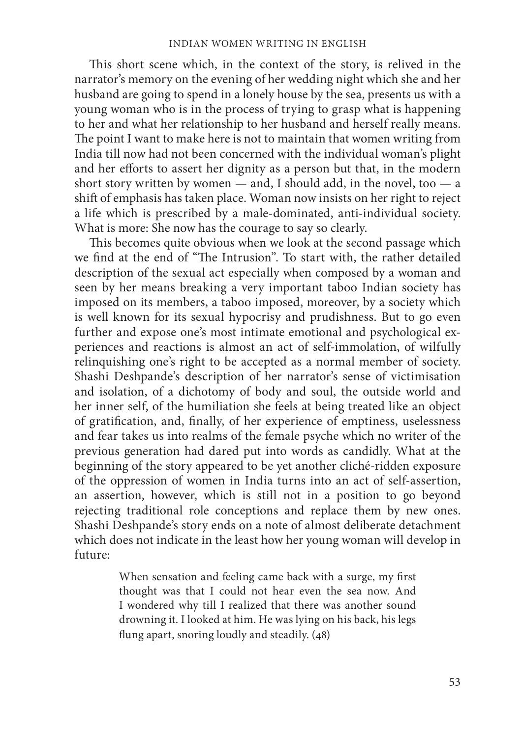This short scene which, in the context of the story, is relived in the narrator's memory on the evening of her wedding night which she and her husband are going to spend in a lonely house by the sea, presents us with a young woman who is in the process of trying to grasp what is happening to her and what her relationship to her husband and herself really means. The point I want to make here is not to maintain that women writing from India till now had not been concerned with the individual woman's plight and her efforts to assert her dignity as a person but that, in the modern short story written by women — and, I should add, in the novel, too — a shift of emphasis has taken place. Woman now insists on her right to reject a life which is prescribed by a male-dominated, anti-individual society. What is more: She now has the courage to say so clearly.

This becomes quite obvious when we look at the second passage which we find at the end of "The Intrusion". To start with, the rather detailed description of the sexual act especially when composed by a woman and seen by her means breaking a very important taboo Indian society has imposed on its members, a taboo imposed, moreover, by a society which is well known for its sexual hypocrisy and prudishness. But to go even further and expose one's most intimate emotional and psychological experiences and reactions is almost an act of self-immolation, of wilfully relinquishing one's right to be accepted as a normal member of society. Shashi Deshpande's description of her narrator's sense of victimisation and isolation, of a dichotomy of body and soul, the outside world and her inner self, of the humiliation she feels at being treated like an object of gratification, and, finally, of her experience of emptiness, uselessness and fear takes us into realms of the female psyche which no writer of the previous generation had dared put into words as candidly. What at the beginning of the story appeared to be yet another cliché-ridden exposure of the oppression of women in India turns into an act of self-assertion, an assertion, however, which is still not in a position to go beyond rejecting traditional role conceptions and replace them by new ones. Shashi Deshpande's story ends on a note of almost deliberate detachment which does not indicate in the least how her young woman will develop in future:

> When sensation and feeling came back with a surge, my first thought was that I could not hear even the sea now. And I wondered why till I realized that there was another sound drowning it. I looked at him. He was lying on his back, his legs flung apart, snoring loudly and steadily. (48)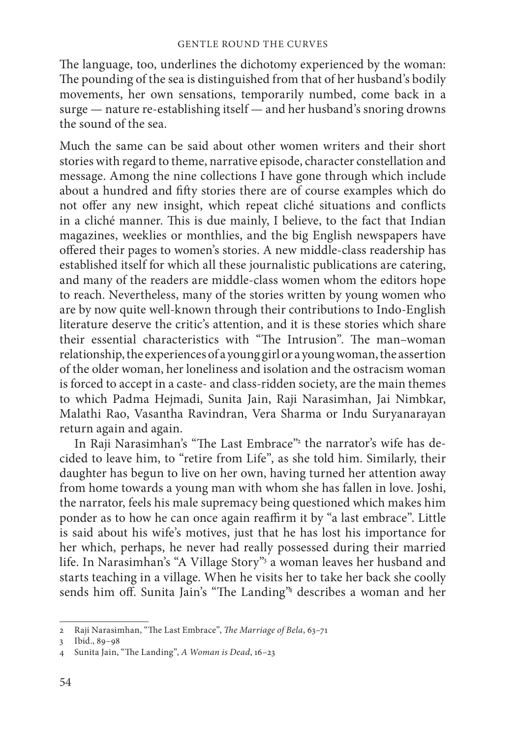The language, too, underlines the dichotomy experienced by the woman: The pounding of the sea is distinguished from that of her husband's bodily movements, her own sensations, temporarily numbed, come back in a surge — nature re-establishing itself — and her husband's snoring drowns the sound of the sea.

Much the same can be said about other women writers and their short stories with regard to theme, narrative episode, character constellation and message. Among the nine collections I have gone through which include about a hundred and fifty stories there are of course examples which do not offer any new insight, which repeat cliché situations and conflicts in a cliché manner. This is due mainly, I believe, to the fact that Indian magazines, weeklies or monthlies, and the big English newspapers have offered their pages to women's stories. A new middle-class readership has established itself for which all these journalistic publications are catering, and many of the readers are middle-class women whom the editors hope to reach. Nevertheless, many of the stories written by young women who are by now quite well-known through their contributions to Indo-English literature deserve the critic's attention, and it is these stories which share their essential characteristics with "The Intrusion". The man-woman relationship, the experiences of a young girl or a young woman, the assertion of the older woman, her loneliness and isolation and the ostracism woman is forced to accept in a caste- and class-ridden society, are the main themes to which Padma Hejmadi, Sunita Jain, Raji Narasimhan, Jai Nimbkar, Malathi Rao, Vasantha Ravindran, Vera Sharma or Indu Suryanarayan return again and again.

In Raji Narasimhan's "The Last Embrace"<sup>2</sup> the narrator's wife has decided to leave him, to "retire from Life", as she told him. Similarly, their daughter has begun to live on her own, having turned her attention away from home towards a young man with whom she has fallen in love. Joshi, the narrator, feels his male supremacy being questioned which makes him ponder as to how he can once again reaffirm it by "a last embrace". Little is said about his wife's motives, just that he has lost his importance for her which, perhaps, he never had really possessed during their married life. In Narasimhan's "A Village Story"<sup>3</sup> a woman leaves her husband and starts teaching in a village. When he visits her to take her back she coolly sends him off. Sunita Jain's "The Landing"<sup>4</sup> describes a woman and her

<sup>2</sup> Raji Narasimhan, "The Last Embrace", *The Marriage of Bela*, 63-71

<sup>3</sup> Ibid., 89–98

<sup>4</sup> Sunita Jain, "The Landing", A Woman is Dead, 16-23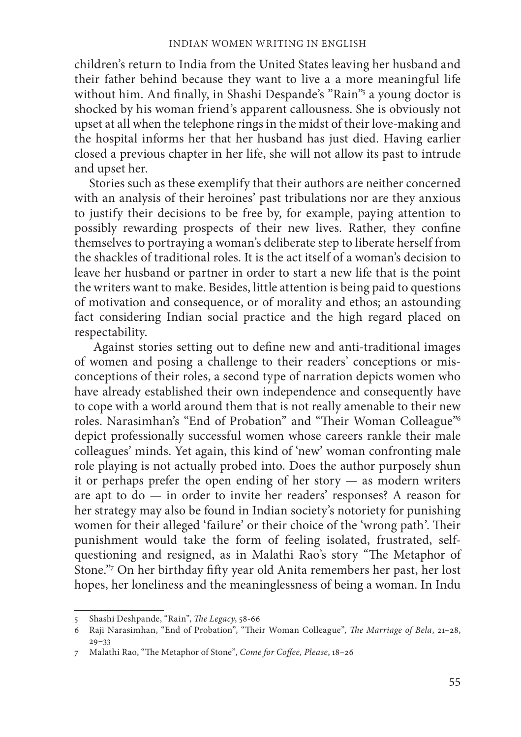children's return to India from the United States leaving her husband and their father behind because they want to live a a more meaningful life without him. And finally, in Shashi Despande's "Rain"<sup>5</sup> a young doctor is shocked by his woman friend's apparent callousness. She is obviously not upset at all when the telephone rings in the midst of their love-making and the hospital informs her that her husband has just died. Having earlier closed a previous chapter in her life, she will not allow its past to intrude and upset her.

Stories such as these exemplify that their authors are neither concerned with an analysis of their heroines' past tribulations nor are they anxious to justify their decisions to be free by, for example, paying attention to possibly rewarding prospects of their new lives. Rather, they confine themselves to portraying a woman's deliberate step to liberate herself from the shackles of traditional roles. It is the act itself of a woman's decision to leave her husband or partner in order to start a new life that is the point the writers want to make. Besides, little attention is being paid to questions of motivation and consequence, or of morality and ethos; an astounding fact considering Indian social practice and the high regard placed on respectability.

Against stories setting out to define new and anti-traditional images of women and posing a challenge to their readers' conceptions or misconceptions of their roles, a second type of narration depicts women who have already established their own independence and consequently have to cope with a world around them that is not really amenable to their new roles. Narasimhan's "End of Probation" and "Their Woman Colleague"6 depict professionally successful women whose careers rankle their male colleagues' minds. Yet again, this kind of 'new' woman confronting male role playing is not actually probed into. Does the author purposely shun it or perhaps prefer the open ending of her story — as modern writers are apt to do — in order to invite her readers' responses? A reason for her strategy may also be found in Indian society's notoriety for punishing women for their alleged 'failure' or their choice of the 'wrong path'. Their punishment would take the form of feeling isolated, frustrated, selfquestioning and resigned, as in Malathi Rao's story "The Metaphor of Stone."<sup>7</sup> On her birthday fifty year old Anita remembers her past, her lost hopes, her loneliness and the meaninglessness of being a woman. In Indu

<sup>5</sup> Shashi Deshpande, "Rain", *The Legacy*, 58-66

<sup>6</sup> Raji Narasimhan, "End of Probation", "Their Woman Colleague", *The Marriage of Bela*, 21-28, 29–33

<sup>7</sup> Malathi Rao, "The Metaphor of Stone", *Come for Coffee*, *Please*, 18-26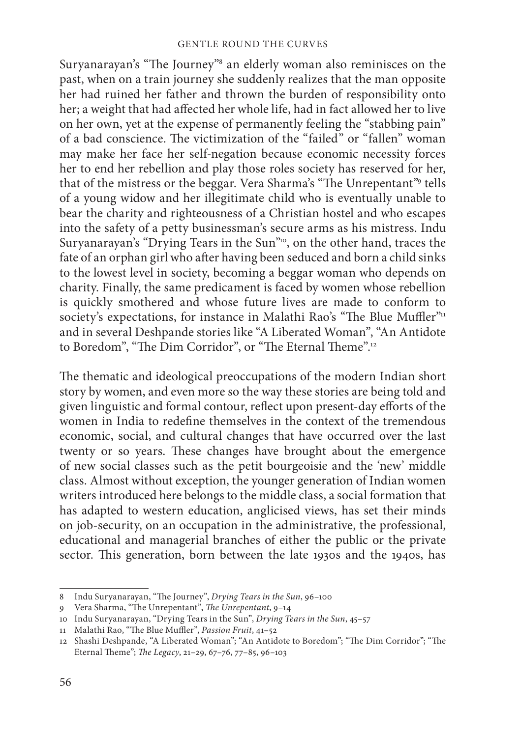Suryanarayan's "The Journey"<sup>8</sup> an elderly woman also reminisces on the past, when on a train journey she suddenly realizes that the man opposite her had ruined her father and thrown the burden of responsibility onto her; a weight that had affected her whole life, had in fact allowed her to live on her own, yet at the expense of permanently feeling the "stabbing pain" of a bad conscience. The victimization of the "failed" or "fallen" woman may make her face her self-negation because economic necessity forces her to end her rebellion and play those roles society has reserved for her, that of the mistress or the beggar. Vera Sharma's "The Unrepentant"<sup>9</sup> tells of a young widow and her illegitimate child who is eventually unable to bear the charity and righteousness of a Christian hostel and who escapes into the safety of a petty businessman's secure arms as his mistress. Indu Suryanarayan's "Drying Tears in the Sun"<sup>10</sup>, on the other hand, traces the fate of an orphan girl who after having been seduced and born a child sinks to the lowest level in society, becoming a beggar woman who depends on charity. Finally, the same predicament is faced by women whose rebellion is quickly smothered and whose future lives are made to conform to society's expectations, for instance in Malathi Rao's "The Blue Muffler"<sup>11</sup> and in several Deshpande stories like "A Liberated Woman", "An Antidote to Boredom", "The Dim Corridor", or "The Eternal Theme".<sup>12</sup>

The thematic and ideological preoccupations of the modern Indian short story by women, and even more so the way these stories are being told and given linguistic and formal contour, reflect upon present-day efforts of the women in India to redefine themselves in the context of the tremendous economic, social, and cultural changes that have occurred over the last twenty or so years. These changes have brought about the emergence of new social classes such as the petit bourgeoisie and the 'new' middle class. Almost without exception, the younger generation of Indian women writers introduced here belongs to the middle class, a social formation that has adapted to western education, anglicised views, has set their minds on job-security, on an occupation in the administrative, the professional, educational and managerial branches of either the public or the private sector. This generation, born between the late 1930s and the 1940s, has

<sup>8</sup> Indu Suryanarayan, "The Journey", *Drying Tears in the Sun*, 96-100

<sup>9</sup> Vera Sharma, "The Unrepentant", *The Unrepentant*, 9-14

<sup>10</sup> Indu Suryanarayan, "Drying Tears in the Sun", *Drying Tears in the Sun*, 45–57

<sup>11</sup> Malathi Rao, "The Blue Muffler", Passion Fruit, 41-52

<sup>12</sup> Shashi Deshpande, "A Liberated Woman"; "An Antidote to Boredom"; "The Dim Corridor"; "The Eternal Theme"; *The Legacy*, 21-29, 67-76, 77-85, 96-103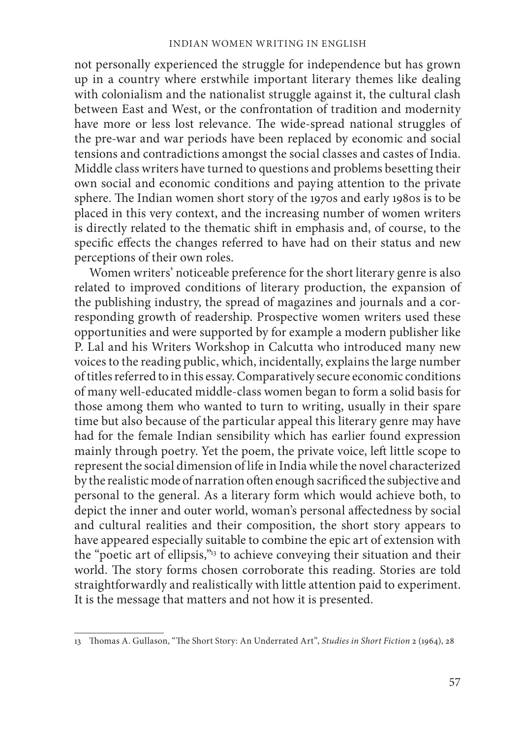not personally experienced the struggle for independence but has grown up in a country where erstwhile important literary themes like dealing with colonialism and the nationalist struggle against it, the cultural clash between East and West, or the confrontation of tradition and modernity have more or less lost relevance. The wide-spread national struggles of the pre-war and war periods have been replaced by economic and social tensions and contradictions amongst the social classes and castes of India. Middle class writers have turned to questions and problems besetting their own social and economic conditions and paying attention to the private sphere. The Indian women short story of the 1970s and early 1980s is to be placed in this very context, and the increasing number of women writers is directly related to the thematic shift in emphasis and, of course, to the specific effects the changes referred to have had on their status and new perceptions of their own roles.

Women writers' noticeable preference for the short literary genre is also related to improved conditions of literary production, the expansion of the publishing industry, the spread of magazines and journals and a corresponding growth of readership. Prospective women writers used these opportunities and were supported by for example a modern publisher like P. Lal and his Writers Workshop in Calcutta who introduced many new voices to the reading public, which, incidentally, explains the large number of titles referred to in this essay. Comparatively secure economic conditions of many well-educated middle-class women began to form a solid basis for those among them who wanted to turn to writing, usually in their spare time but also because of the particular appeal this literary genre may have had for the female Indian sensibility which has earlier found expression mainly through poetry. Yet the poem, the private voice, left little scope to represent the social dimension of life in India while the novel characterized by the realistic mode of narration often enough sacrificed the subjective and personal to the general. As a literary form which would achieve both, to depict the inner and outer world, woman's personal affectedness by social and cultural realities and their composition, the short story appears to have appeared especially suitable to combine the epic art of extension with the "poetic art of ellipsis,"13 to achieve conveying their situation and their world. The story forms chosen corroborate this reading. Stories are told straightforwardly and realistically with little attention paid to experiment. It is the message that matters and not how it is presented.

<sup>13</sup> Th omas A. Gullason, "Th e Short Story: An Underrated Art", *Studies in Short Fiction* 2 (1964), 28